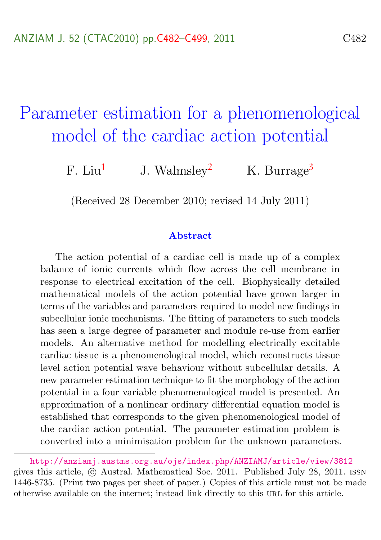# <span id="page-0-0"></span>Parameter estimation for a phenomenological model of the cardiac action potential

F. Liu<sup>[1](#page-17-1)</sup> J. Walmsley<sup>[2](#page-17-2)</sup> K. Burrage<sup>[3](#page-17-0)</sup>

(Received 28 December 2010; revised 14 July 2011)

#### Abstract

The action potential of a cardiac cell is made up of a complex balance of ionic currents which flow across the cell membrane in response to electrical excitation of the cell. Biophysically detailed mathematical models of the action potential have grown larger in terms of the variables and parameters required to model new findings in subcellular ionic mechanisms. The fitting of parameters to such models has seen a large degree of parameter and module re-use from earlier models. An alternative method for modelling electrically excitable cardiac tissue is a phenomenological model, which reconstructs tissue level action potential wave behaviour without subcellular details. A new parameter estimation technique to fit the morphology of the action potential in a four variable phenomenological model is presented. An approximation of a nonlinear ordinary differential equation model is established that corresponds to the given phenomenological model of the cardiac action potential. The parameter estimation problem is converted into a minimisation problem for the unknown parameters.

<http://anziamj.austms.org.au/ojs/index.php/ANZIAMJ/article/view/3812> gives this article, c Austral. Mathematical Soc. 2011. Published July 28, 2011. issn 1446-8735. (Print two pages per sheet of paper.) Copies of this article must not be made otherwise available on the internet; instead link directly to this url for this article.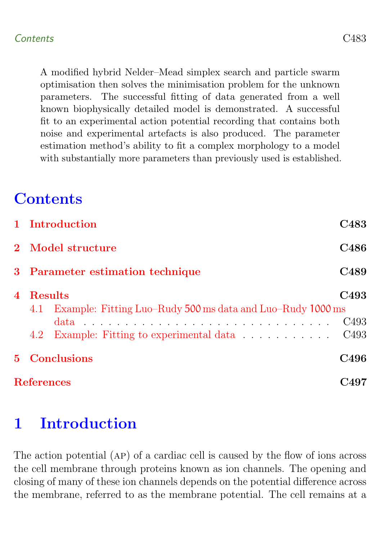A modified hybrid Nelder–Mead simplex search and particle swarm optimisation then solves the minimisation problem for the unknown parameters. The successful fitting of data generated from a well known biophysically detailed model is demonstrated. A successful fit to an experimental action potential recording that contains both noise and experimental artefacts is also produced. The parameter estimation method's ability to fit a complex morphology to a model with substantially more parameters than previously used is established.

## **Contents**

|       | 1 Introduction                                                                                                                 | C483                                 |  |  |  |
|-------|--------------------------------------------------------------------------------------------------------------------------------|--------------------------------------|--|--|--|
|       | 2 Model structure                                                                                                              |                                      |  |  |  |
|       | 3 Parameter estimation technique                                                                                               |                                      |  |  |  |
| 4     | Results<br>Example: Fitting Luo–Rudy 500 ms data and Luo–Rudy 1000 ms<br>4.1<br>4.2 Example: Fitting to experimental data C493 | C <sub>493</sub><br>C <sub>493</sub> |  |  |  |
| $5 -$ | <b>Conclusions</b>                                                                                                             |                                      |  |  |  |
|       | <b>References</b>                                                                                                              | 0497                                 |  |  |  |

## <span id="page-1-0"></span>1 Introduction

The action potential (ap) of a cardiac cell is caused by the flow of ions across the cell membrane through proteins known as ion channels. The opening and closing of many of these ion channels depends on the potential difference across the membrane, referred to as the membrane potential. The cell remains at a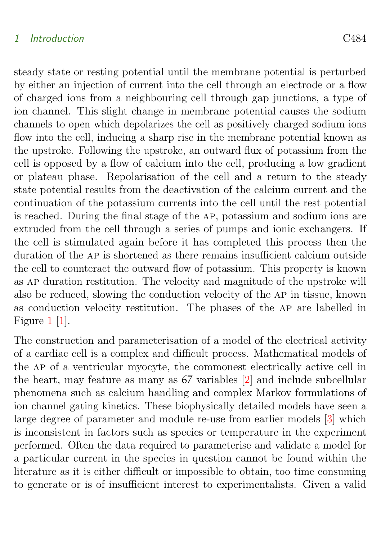#### <span id="page-2-0"></span>1 Introduction C484

steady state or resting potential until the membrane potential is perturbed by either an injection of current into the cell through an electrode or a flow of charged ions from a neighbouring cell through gap junctions, a type of ion channel. This slight change in membrane potential causes the sodium channels to open which depolarizes the cell as positively charged sodium ions flow into the cell, inducing a sharp rise in the membrane potential known as the upstroke. Following the upstroke, an outward flux of potassium from the cell is opposed by a flow of calcium into the cell, producing a low gradient or plateau phase. Repolarisation of the cell and a return to the steady state potential results from the deactivation of the calcium current and the continuation of the potassium currents into the cell until the rest potential is reached. During the final stage of the ap, potassium and sodium ions are extruded from the cell through a series of pumps and ionic exchangers. If the cell is stimulated again before it has completed this process then the duration of the ap is shortened as there remains insufficient calcium outside the cell to counteract the outward flow of potassium. This property is known as ap duration restitution. The velocity and magnitude of the upstroke will also be reduced, slowing the conduction velocity of the ap in tissue, known as conduction velocity restitution. The phases of the ap are labelled in Figure [1](#page-6-0) [\[1\]](#page-15-1).

The construction and parameterisation of a model of the electrical activity of a cardiac cell is a complex and difficult process. Mathematical models of the ap of a ventricular myocyte, the commonest electrically active cell in the heart, may feature as many as 67 variables [\[2\]](#page-15-2) and include subcellular phenomena such as calcium handling and complex Markov formulations of ion channel gating kinetics. These biophysically detailed models have seen a large degree of parameter and module re-use from earlier models [\[3\]](#page-16-0) which is inconsistent in factors such as species or temperature in the experiment performed. Often the data required to parameterise and validate a model for a particular current in the species in question cannot be found within the literature as it is either difficult or impossible to obtain, too time consuming to generate or is of insufficient interest to experimentalists. Given a valid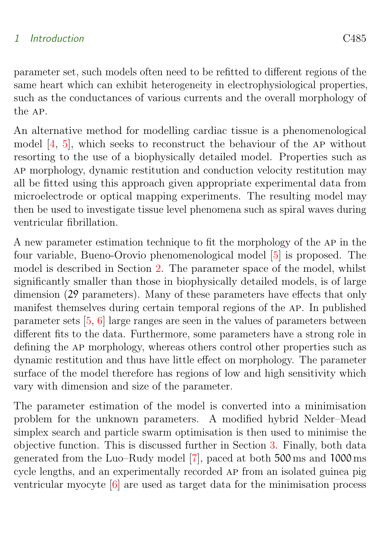#### <span id="page-3-0"></span>1 Introduction C485

parameter set, such models often need to be refitted to different regions of the same heart which can exhibit heterogeneity in electrophysiological properties, such as the conductances of various currents and the overall morphology of the ap.

An alternative method for modelling cardiac tissue is a phenomenological model  $[4, 5]$  $[4, 5]$  $[4, 5]$ , which seeks to reconstruct the behaviour of the AP without resorting to the use of a biophysically detailed model. Properties such as ap morphology, dynamic restitution and conduction velocity restitution may all be fitted using this approach given appropriate experimental data from microelectrode or optical mapping experiments. The resulting model may then be used to investigate tissue level phenomena such as spiral waves during ventricular fibrillation.

A new parameter estimation technique to fit the morphology of the ap in the four variable, Bueno-Orovio phenomenological model [\[5\]](#page-16-2) is proposed. The model is described in Section [2.](#page-4-0) The parameter space of the model, whilst significantly smaller than those in biophysically detailed models, is of large dimension (29 parameters). Many of these parameters have effects that only manifest themselves during certain temporal regions of the ap. In published parameter sets [\[5,](#page-16-2) [6\]](#page-16-3) large ranges are seen in the values of parameters between different fits to the data. Furthermore, some parameters have a strong role in defining the ap morphology, whereas others control other properties such as dynamic restitution and thus have little effect on morphology. The parameter surface of the model therefore has regions of low and high sensitivity which vary with dimension and size of the parameter.

The parameter estimation of the model is converted into a minimisation problem for the unknown parameters. A modified hybrid Nelder–Mead simplex search and particle swarm optimisation is then used to minimise the objective function. This is discussed further in Section [3.](#page-7-0) Finally, both data generated from the Luo–Rudy model [\[7\]](#page-16-4), paced at both 500 ms and 1000 ms cycle lengths, and an experimentally recorded ap from an isolated guinea pig ventricular myocyte [\[6\]](#page-16-3) are used as target data for the minimisation process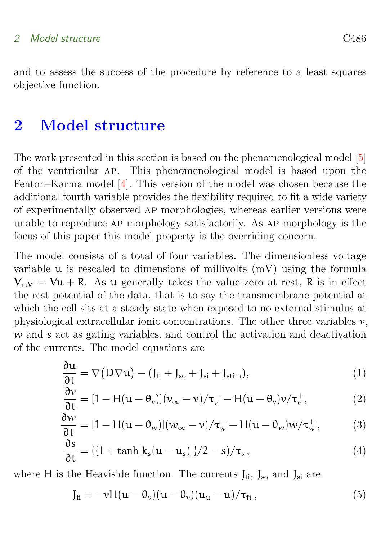#### <span id="page-4-2"></span>2 Model structure C486

and to assess the success of the procedure by reference to a least squares objective function.

## <span id="page-4-0"></span>2 Model structure

The work presented in this section is based on the phenomenological model [\[5\]](#page-16-2) of the ventricular ap. This phenomenological model is based upon the Fenton–Karma model [\[4\]](#page-16-1). This version of the model was chosen because the additional fourth variable provides the flexibility required to fit a wide variety of experimentally observed ap morphologies, whereas earlier versions were unable to reproduce ap morphology satisfactorily. As ap morphology is the focus of this paper this model property is the overriding concern.

The model consists of a total of four variables. The dimensionless voltage variable  $\mu$  is rescaled to dimensions of millivolts  $(mV)$  using the formula  $V_{mV} = Vu + R$ . As u generally takes the value zero at rest, R is in effect the rest potential of the data, that is to say the transmembrane potential at which the cell sits at a steady state when exposed to no external stimulus at physiological extracellular ionic concentrations. The other three variables  $v$ , w and s act as gating variables, and control the activation and deactivation of the currents. The model equations are

<span id="page-4-1"></span>
$$
\frac{\partial u}{\partial t} = \nabla (D\nabla u) - (J_{\text{fi}} + J_{\text{so}} + J_{\text{si}} + J_{\text{stim}}),\tag{1}
$$

$$
\frac{\partial v}{\partial t} = [1 - H(u - \theta_v)](v_{\infty} - v)/\tau_v^- - H(u - \theta_v)v/\tau_v^+, \qquad (2)
$$

$$
\frac{\partial w}{\partial t} = [1 - H(u - \theta_w)](w_\infty - v) / \tau_w^- - H(u - \theta_w) w / \tau_w^+, \tag{3}
$$

$$
\frac{\partial s}{\partial t} = (\{1 + \tanh[k_s(u - u_s)]\}/2 - s)/\tau_s, \qquad (4)
$$

where H is the Heaviside function. The currents  $J_{fi}$ ,  $J_{so}$  and  $J_{si}$  are

$$
J_{\text{fi}} = -\nu H(u - \theta_{\nu})(u - \theta_{\nu})(u_{\mu} - u)/\tau_{\text{fi}}\,,\tag{5}
$$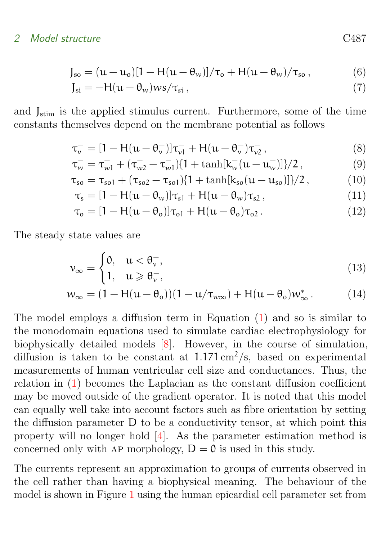#### <span id="page-5-0"></span>2 Model structure C487

$$
J_{\rm so} = (u - u_{\rm o})[1 - H(u - \theta_w)]/\tau_{\rm o} + H(u - \theta_w)/\tau_{\rm so},\tag{6}
$$

$$
J_{si} = -H(\mu - \theta_w)ws/\tau_{si}, \qquad (7)
$$

and  $J_{\text{stim}}$  is the applied stimulus current. Furthermore, some of the time constants themselves depend on the membrane potential as follows

$$
\tau_{\nu}^- = [1 - H(u - \theta_{\nu}^-)]\tau_{\nu 1}^- + H(u - \theta_{\nu}^-)\tau_{\nu 2}^-, \qquad (8)
$$

$$
\tau_{w}^{-} = \tau_{w1}^{-} + (\tau_{w2}^{-} - \tau_{w1}^{-})\{1 + \tanh[k_{w}^{-}(\mathfrak{u} - \mathfrak{u}_{w}^{-})]\}/2\,,\tag{9}
$$

$$
\tau_{so} = \tau_{so1} + (\tau_{so2} - \tau_{so1})\{1 + \tanh[k_{so}(u - u_{so})]\}/2, \qquad (10)
$$

$$
\tau_s = [1 - H(u - \theta_w)]\tau_{s1} + H(u - \theta_w)\tau_{s2}, \qquad (11)
$$

$$
\tau_o = [1 - H(u - \theta_o)]\tau_{o1} + H(u - \theta_o)\tau_{o2}.
$$
 (12)

The steady state values are

$$
\nu_{\infty} = \begin{cases} 0, & u < \theta_{\nu}^{-}, \\ 1, & u \geqslant \theta_{\nu}^{-}, \end{cases} \tag{13}
$$

$$
w_{\infty} = (1 - H(u - \theta_o))(1 - u/\tau_{w\infty}) + H(u - \theta_o)w_{\infty}^*.
$$
 (14)

The model employs a diffusion term in Equation [\(1\)](#page-4-1) and so is similar to the monodomain equations used to simulate cardiac electrophysiology for biophysically detailed models [\[8\]](#page-16-5). However, in the course of simulation, diffusion is taken to be constant at  $1.171 \text{ cm}^2/\text{s}$ , based on experimental measurements of human ventricular cell size and conductances. Thus, the relation in [\(1\)](#page-4-1) becomes the Laplacian as the constant diffusion coefficient may be moved outside of the gradient operator. It is noted that this model can equally well take into account factors such as fibre orientation by setting the diffusion parameter D to be a conductivity tensor, at which point this property will no longer hold [\[4\]](#page-16-1). As the parameter estimation method is concerned only with AP morphology,  $D = 0$  is used in this study.

The currents represent an approximation to groups of currents observed in the cell rather than having a biophysical meaning. The behaviour of the model is shown in Figure [1](#page-6-0) using the human epicardial cell parameter set from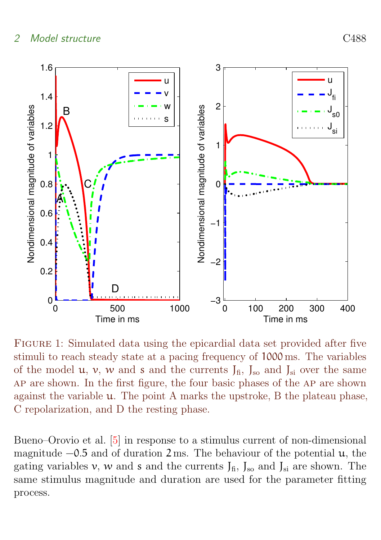#### <span id="page-6-1"></span>2 Model structure C488



<span id="page-6-0"></span>Figure 1: Simulated data using the epicardial data set provided after five stimuli to reach steady state at a pacing frequency of 1000 ms. The variables of the model **u**, **v**, **w** and **s** and the currents  $J_{fi}$ ,  $J_{so}$  and  $J_{si}$  over the same ap are shown. In the first figure, the four basic phases of the ap are shown against the variable u. The point A marks the upstroke, B the plateau phase, C repolarization, and D the resting phase.

Bueno–Orovio et al. [\[5\]](#page-16-2) in response to a stimulus current of non-dimensional magnitude  $-0.5$  and of duration 2 ms. The behaviour of the potential  $u$ , the gating variables v, w and s and the currents  $J_{fi}$ ,  $J_{so}$  and  $J_{si}$  are shown. The same stimulus magnitude and duration are used for the parameter fitting process.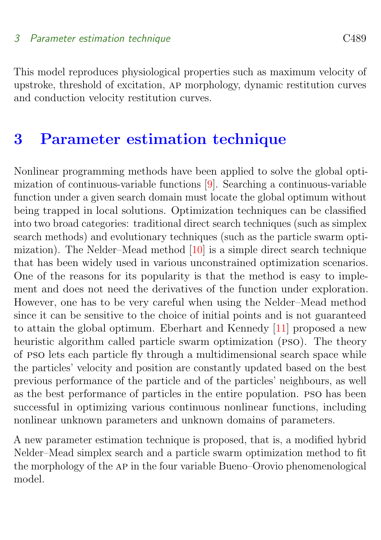<span id="page-7-1"></span>This model reproduces physiological properties such as maximum velocity of upstroke, threshold of excitation, ap morphology, dynamic restitution curves and conduction velocity restitution curves.

## <span id="page-7-0"></span>3 Parameter estimation technique

Nonlinear programming methods have been applied to solve the global optimization of continuous-variable functions [\[9\]](#page-16-6). Searching a continuous-variable function under a given search domain must locate the global optimum without being trapped in local solutions. Optimization techniques can be classified into two broad categories: traditional direct search techniques (such as simplex search methods) and evolutionary techniques (such as the particle swarm optimization). The Nelder–Mead method [\[10\]](#page-16-7) is a simple direct search technique that has been widely used in various unconstrained optimization scenarios. One of the reasons for its popularity is that the method is easy to implement and does not need the derivatives of the function under exploration. However, one has to be very careful when using the Nelder–Mead method since it can be sensitive to the choice of initial points and is not guaranteed to attain the global optimum. Eberhart and Kennedy [\[11\]](#page-16-8) proposed a new heuristic algorithm called particle swarm optimization (PSO). The theory of pso lets each particle fly through a multidimensional search space while the particles' velocity and position are constantly updated based on the best previous performance of the particle and of the particles' neighbours, as well as the best performance of particles in the entire population. pso has been successful in optimizing various continuous nonlinear functions, including nonlinear unknown parameters and unknown domains of parameters.

A new parameter estimation technique is proposed, that is, a modified hybrid Nelder–Mead simplex search and a particle swarm optimization method to fit the morphology of the ap in the four variable Bueno–Orovio phenomenological model.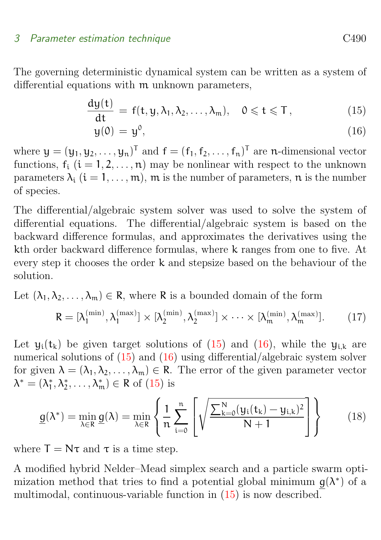#### 3 Parameter estimation technique C<sub>490</sub> C<sub>490</sub>

The governing deterministic dynamical system can be written as a system of differential equations with m unknown parameters,

$$
\frac{dy(t)}{dt} = f(t, y, \lambda_1, \lambda_2, \dots, \lambda_m), \quad 0 \leq t \leq T,
$$
\n(15)

$$
y(0) = y^0, \tag{16}
$$

where  $\mathbf{y} = (y_1, y_2, \dots, y_n)^\mathsf{T}$  and  $\mathbf{f} = (f_1, f_2, \dots, f_n)^\mathsf{T}$  are n-dimensional vector functions,  $f_i$   $(i = 1, 2, ..., n)$  may be nonlinear with respect to the unknown parameters  $\lambda_i$  ( $i = 1, \ldots, m$ ),  $m$  is the number of parameters,  $n$  is the number of species.

The differential/algebraic system solver was used to solve the system of differential equations. The differential/algebraic system is based on the backward difference formulas, and approximates the derivatives using the kth order backward difference formulas, where k ranges from one to five. At every step it chooses the order k and stepsize based on the behaviour of the solution.

Let  $(\lambda_1, \lambda_2, \ldots, \lambda_m) \in \mathbb{R}$ , where R is a bounded domain of the form

$$
R = [\lambda_1^{\text{(min)}}, \lambda_1^{\text{(max)}}] \times [\lambda_2^{\text{(min)}}, \lambda_2^{\text{(max)}}] \times \cdots \times [\lambda_m^{\text{(min)}}, \lambda_m^{\text{(max)}}]. \tag{17}
$$

Let  $y_i(t_k)$  be given target solutions of [\(15\)](#page-7-0) and [\(16\)](#page-7-0), while the  $y_{i,k}$  are numerical solutions of  $(15)$  and  $(16)$  using differential/algebraic system solver for given  $\lambda = (\lambda_1, \lambda_2, \ldots, \lambda_m) \in \mathbb{R}$ . The error of the given parameter vector  $\lambda^* = (\lambda_1^*, \lambda_2^*, \dots, \lambda_m^*) \in \mathsf{R}$  of [\(15\)](#page-7-0) is

<span id="page-8-0"></span>
$$
\underline{g}(\lambda^*) = \min_{\lambda \in R} \underline{g}(\lambda) = \min_{\lambda \in R} \left\{ \frac{1}{n} \sum_{i=0}^n \left[ \sqrt{\frac{\sum_{k=0}^N (y_i(t_k) - y_{i,k})^2}{N+1}} \right] \right\}
$$
(18)

where  $T = N\tau$  and  $\tau$  is a time step.

A modified hybrid Nelder–Mead simplex search and a particle swarm optimization method that tries to find a potential global minimum  $g(\lambda^*)$  of a multimodal, continuous-variable function in [\(15\)](#page-7-0) is now described.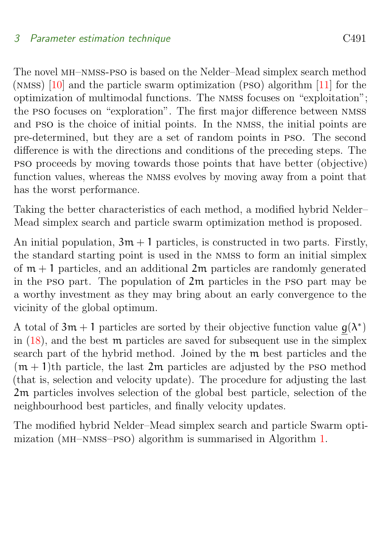<span id="page-9-1"></span>The novel mh–nmss-pso is based on the Nelder–Mead simplex search method (nmss) [\[10\]](#page-16-7) and the particle swarm optimization (pso) algorithm [\[11\]](#page-16-8) for the optimization of multimodal functions. The nmss focuses on "exploitation"; the pso focuses on "exploration". The first major difference between nmss and pso is the choice of initial points. In the nmss, the initial points are pre-determined, but they are a set of random points in pso. The second difference is with the directions and conditions of the preceding steps. The pso proceeds by moving towards those points that have better (objective) function values, whereas the nmss evolves by moving away from a point that has the worst performance.

Taking the better characteristics of each method, a modified hybrid Nelder– Mead simplex search and particle swarm optimization method is proposed.

An initial population,  $3m + 1$  particles, is constructed in two parts. Firstly, the standard starting point is used in the nmss to form an initial simplex of  $m + 1$  particles, and an additional  $2m$  particles are randomly generated in the pso part. The population of 2m particles in the pso part may be a worthy investment as they may bring about an early convergence to the vicinity of the global optimum.

A total of  $3m + 1$  particles are sorted by their objective function value  $g(\lambda^*)$ in  $(18)$ , and the best m particles are saved for subsequent use in the simplex search part of the hybrid method. Joined by the m best particles and the  $(m + 1)$ th particle, the last  $2m$  particles are adjusted by the PSO method (that is, selection and velocity update). The procedure for adjusting the last 2m particles involves selection of the global best particle, selection of the neighbourhood best particles, and finally velocity updates.

<span id="page-9-0"></span>The modified hybrid Nelder–Mead simplex search and particle Swarm optimization (mh–nmss–pso) algorithm is summarised in Algorithm [1.](#page-9-0)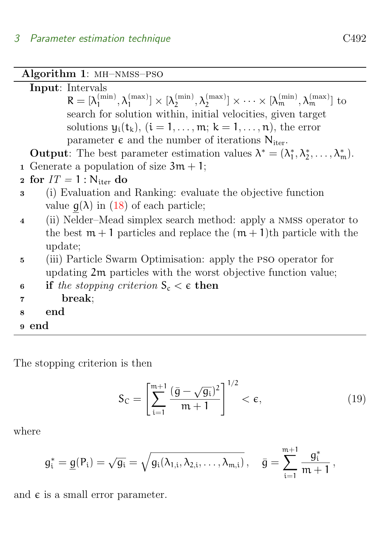| Algorithm 1: MH-NMSS-PSO                                                                                           |                                                                                                                                                           |  |  |  |  |  |  |
|--------------------------------------------------------------------------------------------------------------------|-----------------------------------------------------------------------------------------------------------------------------------------------------------|--|--|--|--|--|--|
| <b>Input:</b> Intervals                                                                                            |                                                                                                                                                           |  |  |  |  |  |  |
|                                                                                                                    | $R = [\lambda_1^{(min)}, \lambda_1^{(max)}] \times [\lambda_2^{(min)}, \lambda_2^{(max)}] \times \cdots \times [\lambda_m^{(min)}, \lambda_m^{(max)}]$ to |  |  |  |  |  |  |
| search for solution within, initial velocities, given target                                                       |                                                                                                                                                           |  |  |  |  |  |  |
| solutions $y_i(t_k)$ , $(i = 1, \ldots, m; k = 1, \ldots, n)$ , the error                                          |                                                                                                                                                           |  |  |  |  |  |  |
| parameter $\epsilon$ and the number of iterations $N_{iter}$ .                                                     |                                                                                                                                                           |  |  |  |  |  |  |
| <b>Output:</b> The best parameter estimation values $\lambda^* = (\lambda_1^*, \lambda_2^*, \dots, \lambda_m^*)$ . |                                                                                                                                                           |  |  |  |  |  |  |
| 1 Generate a population of size $3m + 1$ ;                                                                         |                                                                                                                                                           |  |  |  |  |  |  |
| 2 for $IT = 1 : N_{iter}$ do                                                                                       |                                                                                                                                                           |  |  |  |  |  |  |
| (i) Evaluation and Ranking: evaluate the objective function<br>3                                                   |                                                                                                                                                           |  |  |  |  |  |  |
| value $g(\lambda)$ in (18) of each particle;                                                                       |                                                                                                                                                           |  |  |  |  |  |  |
| $\overline{4}$                                                                                                     | (ii) Nelder-Mead simplex search method: apply a NMSS operator to                                                                                          |  |  |  |  |  |  |
| the best $m + 1$ particles and replace the $(m + 1)$ th particle with the                                          |                                                                                                                                                           |  |  |  |  |  |  |
| update;                                                                                                            |                                                                                                                                                           |  |  |  |  |  |  |
| (iii) Particle Swarm Optimisation: apply the PSO operator for<br>5 <sup>5</sup>                                    |                                                                                                                                                           |  |  |  |  |  |  |
| updating 2m particles with the worst objective function value;                                                     |                                                                                                                                                           |  |  |  |  |  |  |
| if the stopping criterion $S_c < \epsilon$ then<br>6                                                               |                                                                                                                                                           |  |  |  |  |  |  |
| break;<br>$\overline{7}$                                                                                           |                                                                                                                                                           |  |  |  |  |  |  |
| end<br>8                                                                                                           |                                                                                                                                                           |  |  |  |  |  |  |
| <sub>9</sub> end                                                                                                   |                                                                                                                                                           |  |  |  |  |  |  |
|                                                                                                                    |                                                                                                                                                           |  |  |  |  |  |  |

The stopping criterion is then

$$
S_C = \left[\sum_{i=1}^{m+1} \frac{(\bar{g} - \sqrt{g_i})^2}{m+1}\right]^{1/2} < \epsilon,\tag{19}
$$

where

$$
g_i^* = \underline{g}(P_i) = \sqrt{g_i} = \sqrt{g_i(\lambda_{1,i}, \lambda_{2,i}, \ldots, \lambda_{m,i})} \,, \quad \bar{g} = \sum_{i=1}^{m+1} \frac{g_i^*}{m+1} \,,
$$

and  $\epsilon$  is a small error parameter.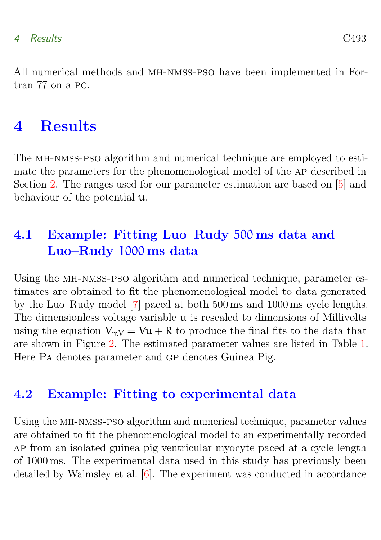#### <span id="page-11-3"></span>4 Results C493

All numerical methods and MH-NMSS-PSO have been implemented in Fortran 77 on a pc.

## <span id="page-11-0"></span>4 Results

The mh-nmss-pso algorithm and numerical technique are employed to estimate the parameters for the phenomenological model of the ap described in Section [2.](#page-4-0) The ranges used for our parameter estimation are based on [\[5\]](#page-16-2) and behaviour of the potential u.

## <span id="page-11-1"></span>4.1 Example: Fitting Luo–Rudy 500 ms data and Luo–Rudy 1000 ms data

Using the MH-NMSS-PSO algorithm and numerical technique, parameter estimates are obtained to fit the phenomenological model to data generated by the Luo–Rudy model [\[7\]](#page-16-4) paced at both 500 ms and 1000 ms cycle lengths. The dimensionless voltage variable  $\mu$  is rescaled to dimensions of Millivolts using the equation  $V_{mV} = V\mathfrak{u} + R$  to produce the final fits to the data that are shown in Figure [2.](#page-12-0) The estimated parameter values are listed in Table [1.](#page-14-1) Here Pa denotes parameter and gp denotes Guinea Pig.

### <span id="page-11-2"></span>4.2 Example: Fitting to experimental data

Using the MH-NMSS-PSO algorithm and numerical technique, parameter values are obtained to fit the phenomenological model to an experimentally recorded ap from an isolated guinea pig ventricular myocyte paced at a cycle length of 1000 ms. The experimental data used in this study has previously been detailed by Walmsley et al. [\[6\]](#page-16-3). The experiment was conducted in accordance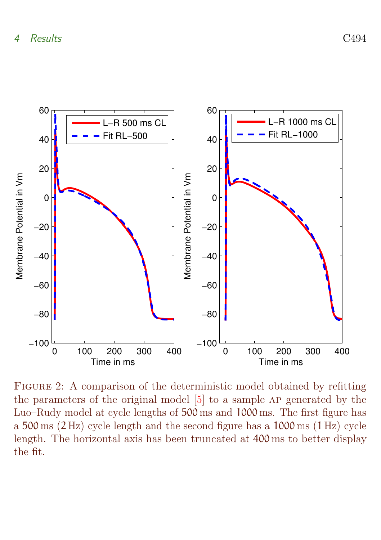<span id="page-12-1"></span>

<span id="page-12-0"></span>Figure 2: A comparison of the deterministic model obtained by refitting the parameters of the original model  $[5]$  to a sample AP generated by the Luo–Rudy model at cycle lengths of 500 ms and 1000 ms. The first figure has a 500 ms (2 Hz) cycle length and the second figure has a 1000 ms (1 Hz) cycle length. The horizontal axis has been truncated at 400 ms to better display the fit.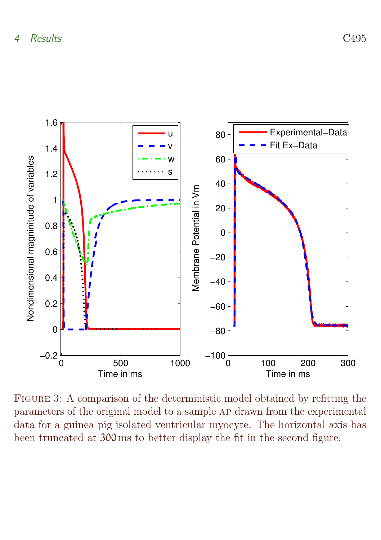

<span id="page-13-0"></span>FIGURE 3: A comparison of the deterministic model obtained by refitting the parameters of the original model to a sample ap drawn from the experimental data for a guinea pig isolated ventricular myocyte. The horizontal axis has been truncated at 300 ms to better display the fit in the second figure.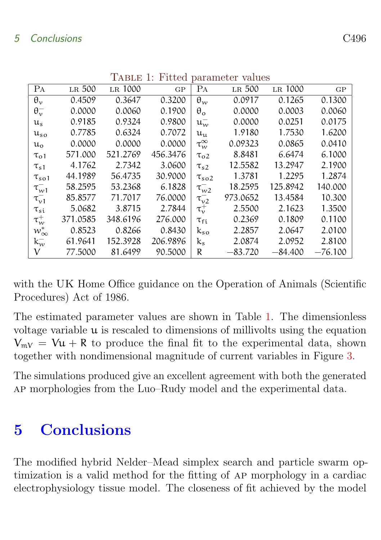| $10004$ parameter       |          |          |          |                      |           |           |           |  |  |
|-------------------------|----------|----------|----------|----------------------|-----------|-----------|-----------|--|--|
| PA                      | LR 500   | LR 1000  | GP       | Pа                   | LR 500    | LR 1000   | GP        |  |  |
| $\theta_{\rm v}$        | 0.4509   | 0.3647   | 0.3200   | $\theta_w$           | 0.0917    | 0.1265    | 0.1300    |  |  |
| $\theta_{\nu}^-$        | 0.0000   | 0.0060   | 0.1900   | $\theta_{\rm o}$     | 0.0000    | 0.0003    | 0.0060    |  |  |
| $\mathfrak{u}_s$        | 0.9185   | 0.9324   | 0.9800   | $\mathfrak{u}_{w}^-$ | 0.0000    | 0.0251    | 0.0175    |  |  |
| $\mathfrak{u}_{\rm so}$ | 0.7785   | 0.6324   | 0.7072   | $u_{11}$             | 1.9180    | 1.7530    | 1.6200    |  |  |
| $\mathfrak{u}_\alpha$   | 0.0000   | 0.0000   | 0.0000   | $\tau_{w}^{\infty}$  | 0.09323   | 0.0865    | 0.0410    |  |  |
| $\tau_{01}$             | 571.000  | 521.2769 | 456.3476 | $\tau_{02}$          | 8.8481    | 6.6474    | 6.1000    |  |  |
| $\tau_{s1}$             | 4.1762   | 2.7342   | 3.0600   | $\tau_{s2}$          | 12.5582   | 13.2947   | 2.1900    |  |  |
| $\tau_{\rm so1}$        | 44.1989  | 56.4735  | 30.9000  | $\tau_{so2}$         | 1.3781    | 1.2295    | 1.2874    |  |  |
| $\tau_{w1}^-$           | 58.2595  | 53.2368  | 6.1828   | $\tau_{w2}^-$        | 18.2595   | 125.8942  | 140.000   |  |  |
| $\tau_{\nu1}^-$         | 85.8577  | 71.7017  | 76.0000  | $\tau_{\nu2}^-$      | 973.0652  | 13.4584   | 10.300    |  |  |
| $\tau_{si}$             | 5.0682   | 3.8715   | 2.7844   | $\tau_{\nu}^+$       | 2.5500    | 2.1623    | 1.3500    |  |  |
| $\tau_w^+$              | 371.0585 | 348.6196 | 276.000  | $\tau_{\rm fi}$      | 0.2369    | 0.1809    | 0.1100    |  |  |
| $w^*_\infty$            | 0.8523   | 0.8266   | 0.8430   | $k_{so}$             | 2.2857    | 2.0647    | 2.0100    |  |  |
| $k_{w}^{-}$             | 61.9641  | 152.3928 | 206.9896 | $k_{s}$              | 2.0874    | 2.0952    | 2.8100    |  |  |
| V                       | 77.5000  | 81.6499  | 90.5000  | R                    | $-83.720$ | $-84.400$ | $-76.100$ |  |  |

<span id="page-14-1"></span> $T$ ABLE 1: Fitted parameter values

with the UK Home Office guidance on the Operation of Animals (Scientific Procedures) Act of 1986.

The estimated parameter values are shown in Table [1.](#page-14-1) The dimensionless voltage variable  $\mu$  is rescaled to dimensions of millivolts using the equation  $V_{mV} = Vu + R$  to produce the final fit to the experimental data, shown together with nondimensional magnitude of current variables in Figure [3.](#page-13-0)

The simulations produced give an excellent agreement with both the generated ap morphologies from the Luo–Rudy model and the experimental data.

## <span id="page-14-0"></span>5 Conclusions

The modified hybrid Nelder–Mead simplex search and particle swarm optimization is a valid method for the fitting of ap morphology in a cardiac electrophysiology tissue model. The closeness of fit achieved by the model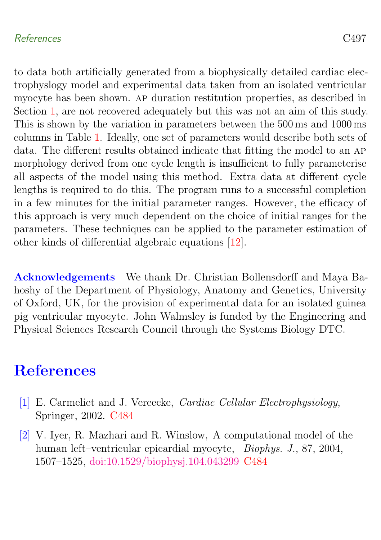#### <span id="page-15-3"></span>References C497

to data both artificially generated from a biophysically detailed cardiac electrophyslogy model and experimental data taken from an isolated ventricular myocyte has been shown. ap duration restitution properties, as described in Section [1,](#page-1-0) are not recovered adequately but this was not an aim of this study. This is shown by the variation in parameters between the 500 ms and 1000 ms columns in Table [1.](#page-14-1) Ideally, one set of parameters would describe both sets of data. The different results obtained indicate that fitting the model to an ap morphology derived from one cycle length is insufficient to fully parameterise all aspects of the model using this method. Extra data at different cycle lengths is required to do this. The program runs to a successful completion in a few minutes for the initial parameter ranges. However, the efficacy of this approach is very much dependent on the choice of initial ranges for the parameters. These techniques can be applied to the parameter estimation of other kinds of differential algebraic equations [\[12\]](#page-17-3).

Acknowledgements We thank Dr. Christian Bollensdorff and Maya Bahoshy of the Department of Physiology, Anatomy and Genetics, University of Oxford, UK, for the provision of experimental data for an isolated guinea pig ventricular myocyte. John Walmsley is funded by the Engineering and Physical Sciences Research Council through the Systems Biology DTC.

## <span id="page-15-0"></span>References

- <span id="page-15-1"></span>[1] E. Carmeliet and J. Vereecke, Cardiac Cellular Electrophysiology, Springer, 2002. [C484](#page-2-0)
- <span id="page-15-2"></span>[2] V. Iyer, R. Mazhari and R. Winslow, A computational model of the human left–ventricular epicardial myocyte, Biophys. J., 87, 2004, 1507–1525, [doi:10.1529/biophysj.104.043299](http://dx.doi.org/10.1529/biophysj.104.043299) [C484](#page-2-0)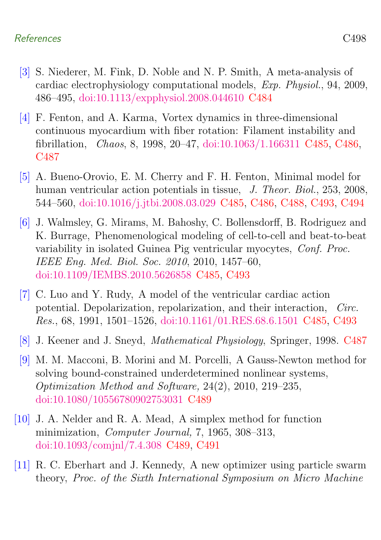#### References C498

- <span id="page-16-0"></span>[3] S. Niederer, M. Fink, D. Noble and N. P. Smith, A meta-analysis of cardiac electrophysiology computational models, Exp. Physiol., 94, 2009, 486–495, [doi:10.1113/expphysiol.2008.044610](http://dx.doi.org/10.1113/expphysiol.2008.044610) [C484](#page-2-0)
- <span id="page-16-1"></span>[4] F. Fenton, and A. Karma, Vortex dynamics in three-dimensional continuous myocardium with fiber rotation: Filament instability and fibrillation, Chaos, 8, 1998, 20–47, [doi:10.1063/1.166311](http://dx.doi.org/10.1063/1.166311) [C485,](#page-3-0) [C486,](#page-4-2) [C487](#page-5-0)
- <span id="page-16-2"></span>[5] A. Bueno-Orovio, E. M. Cherry and F. H. Fenton, Minimal model for human ventricular action potentials in tissue, J. Theor. Biol., 253, 2008, 544–560, [doi:10.1016/j.jtbi.2008.03.029](http://dx.doi.org/10.1016/j.jtbi.2008.03.029) [C485,](#page-3-0) [C486,](#page-4-2) [C488,](#page-6-1) [C493,](#page-11-3) [C494](#page-12-1)
- <span id="page-16-3"></span>[6] J. Walmsley, G. Mirams, M. Bahoshy, C. Bollensdorff, B. Rodriguez and K. Burrage, Phenomenological modeling of cell-to-cell and beat-to-beat variability in isolated Guinea Pig ventricular myocytes, Conf. Proc. IEEE Eng. Med. Biol. Soc. 2010, 2010, 1457–60, [doi:10.1109/IEMBS.2010.5626858](http://dx.doi.org/10.1109/IEMBS.2010.5626858) [C485,](#page-3-0) [C493](#page-11-3)
- <span id="page-16-4"></span>[7] C. Luo and Y. Rudy, A model of the ventricular cardiac action potential. Depolarization, repolarization, and their interaction, Circ. Res., 68, 1991, 1501–1526, [doi:10.1161/01.RES.68.6.1501](http://dx.doi.org/10.1161/01.RES.68.6.1501) [C485,](#page-3-0) [C493](#page-11-3)
- <span id="page-16-5"></span>[8] J. Keener and J. Sneyd, Mathematical Physiology, Springer, 1998. [C487](#page-5-0)
- <span id="page-16-6"></span>[9] M. M. Macconi, B. Morini and M. Porcelli, A Gauss-Newton method for solving bound-constrained underdetermined nonlinear systems, Optimization Method and Software, 24(2), 2010, 219–235, [doi:10.1080/10556780902753031](http://dx.doi.org/10.1080/10556780902753031) [C489](#page-7-1)
- <span id="page-16-7"></span>[10] J. A. Nelder and R. A. Mead, A simplex method for function minimization, Computer Journal, 7, 1965, 308–313, [doi:10.1093/comjnl/7.4.308](http://dx.doi.org/10.1093/comjnl/7.4.308) [C489,](#page-7-1) [C491](#page-9-1)
- <span id="page-16-8"></span>[11] R. C. Eberhart and J. Kennedy, A new optimizer using particle swarm theory, Proc. of the Sixth International Symposium on Micro Machine